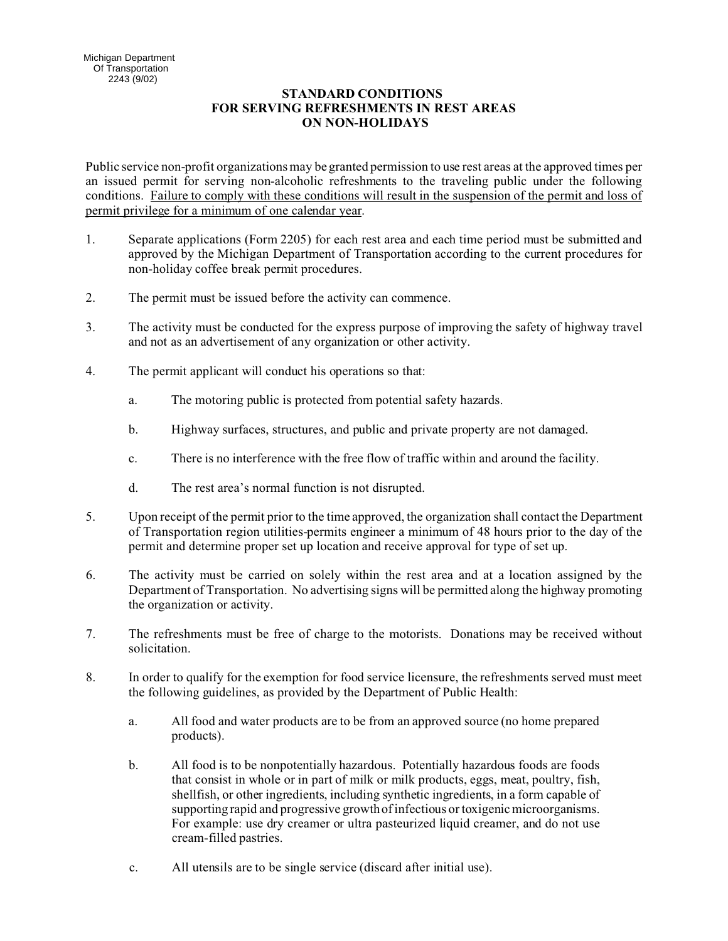## **STANDARD CONDITIONS FOR SERVING REFRESHMENTS IN REST AREAS ON NON-HOLIDAYS**

Public service non-profit organizations may be granted permission to use rest areas at the approved times per an issued permit for serving non-alcoholic refreshments to the traveling public under the following conditions. Failure to comply with these conditions will result in the suspension of the permit and loss of permit privilege for a minimum of one calendar year.

- 1. Separate applications (Form 2205) for each rest area and each time period must be submitted and approved by the Michigan Department of Transportation according to the current procedures for non-holiday coffee break permit procedures.
- 2. The permit must be issued before the activity can commence.
- 3. The activity must be conducted for the express purpose of improving the safety of highway travel and not as an advertisement of any organization or other activity.
- 4. The permit applicant will conduct his operations so that:
	- a. The motoring public is protected from potential safety hazards.
	- b. Highway surfaces, structures, and public and private property are not damaged.
	- c. There is no interference with the free flow of traffic within and around the facility.
	- d. The rest area's normal function is not disrupted.
- 5. Upon receipt of the permit prior to the time approved, the organization shall contact the Department of Transportation region utilities-permits engineer a minimum of 48 hours prior to the day of the permit and determine proper set up location and receive approval for type of set up.
- 6. The activity must be carried on solely within the rest area and at a location assigned by the Department of Transportation. No advertising signs will be permitted along the highway promoting the organization or activity.
- 7. The refreshments must be free of charge to the motorists. Donations may be received without solicitation.
- 8. In order to qualify for the exemption for food service licensure, the refreshments served must meet the following guidelines, as provided by the Department of Public Health:
	- a. All food and water products are to be from an approved source (no home prepared products).
	- b. All food is to be nonpotentially hazardous. Potentially hazardous foods are foods that consist in whole or in part of milk or milk products, eggs, meat, poultry, fish, shellfish, or other ingredients, including synthetic ingredients, in a form capable of supporting rapid and progressive growth of infectious or toxigenic microorganisms. For example: use dry creamer or ultra pasteurized liquid creamer, and do not use cream-filled pastries.
	- c. All utensils are to be single service (discard after initial use).